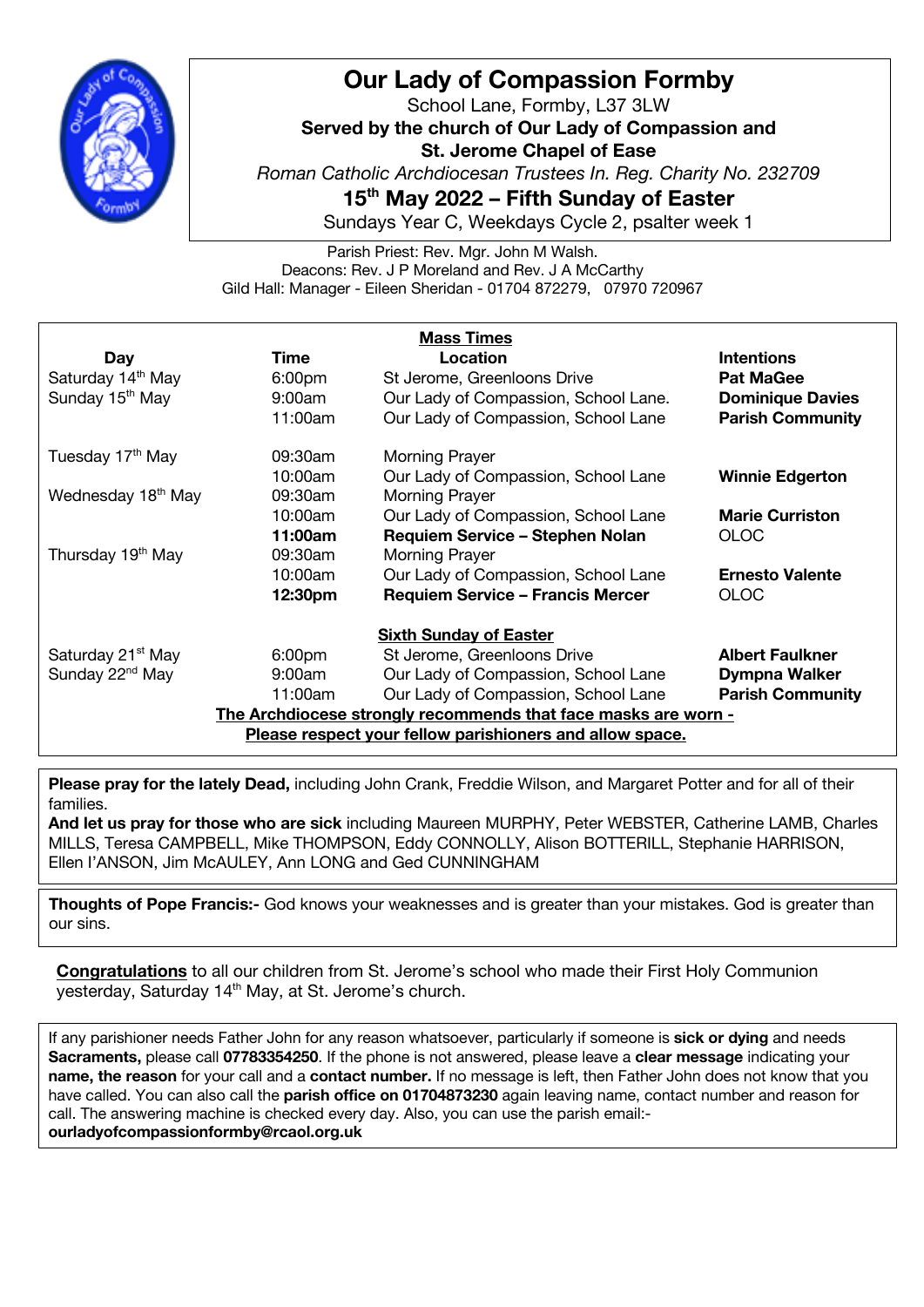

## **Our Lady of Compassion Formby**

School Lane, Formby, L37 3LW **Served by the church of Our Lady of Compassion and St. Jerome Chapel of Ease** *Roman Catholic Archdiocesan Trustees In. Reg. Charity No. 232709* **15th May 2022 – Fifth Sunday of Easter**

Sundays Year C, Weekdays Cycle 2, psalter week 1

Parish Priest: Rev. Mgr. John M Walsh. Deacons: Rev. J P Moreland and Rev. J A McCarthy Gild Hall: Manager - Eileen Sheridan - 01704 872279, 07970 720967

| <b>Mass Times</b>                                              |                    |                                         |                         |
|----------------------------------------------------------------|--------------------|-----------------------------------------|-------------------------|
| <b>Day</b>                                                     | Time               | Location                                | <b>Intentions</b>       |
| Saturday 14 <sup>th</sup> May                                  | 6:00 <sub>pm</sub> | St Jerome, Greenloons Drive             | <b>Pat MaGee</b>        |
| Sunday 15 <sup>th</sup> May                                    | 9:00am             | Our Lady of Compassion, School Lane.    | <b>Dominique Davies</b> |
|                                                                | 11:00am            | Our Lady of Compassion, School Lane     | <b>Parish Community</b> |
| Tuesday 17 <sup>th</sup> May                                   | 09:30am            | <b>Morning Prayer</b>                   |                         |
|                                                                | 10:00am            | Our Lady of Compassion, School Lane     | <b>Winnie Edgerton</b>  |
| Wednesday 18 <sup>th</sup> May                                 | 09:30am            | <b>Morning Prayer</b>                   |                         |
|                                                                | 10:00am            | Our Lady of Compassion, School Lane     | <b>Marie Curriston</b>  |
|                                                                | 11:00am            | Requiem Service - Stephen Nolan         | <b>OLOC</b>             |
| Thursday 19 <sup>th</sup> May                                  | 09:30am            | <b>Morning Prayer</b>                   |                         |
|                                                                | 10:00am            | Our Lady of Compassion, School Lane     | <b>Ernesto Valente</b>  |
|                                                                | 12:30pm            | <b>Requiem Service - Francis Mercer</b> | <b>OLOC</b>             |
| <b>Sixth Sunday of Easter</b>                                  |                    |                                         |                         |
| Saturday 21 <sup>st</sup> May                                  | 6:00 <sub>pm</sub> | St Jerome, Greenloons Drive             | <b>Albert Faulkner</b>  |
| Sunday 22 <sup>nd</sup> May                                    | 9:00am             | Our Lady of Compassion, School Lane     | <b>Dympna Walker</b>    |
|                                                                | 11:00am            | Our Lady of Compassion, School Lane     | <b>Parish Community</b> |
| The Archdiocese strongly recommends that face masks are worn - |                    |                                         |                         |
| Please respect your fellow parishioners and allow space.       |                    |                                         |                         |

**Please pray for the lately Dead,** including John Crank, Freddie Wilson, and Margaret Potter and for all of their families.

**And let us pray for those who are sick** including Maureen MURPHY, Peter WEBSTER, Catherine LAMB, Charles MILLS, Teresa CAMPBELL, Mike THOMPSON, Eddy CONNOLLY, Alison BOTTERILL, Stephanie HARRISON, Ellen I'ANSON, Jim McAULEY, Ann LONG and Ged CUNNINGHAM

**Thoughts of Pope Francis:-** God knows your weaknesses and is greater than your mistakes. God is greater than our sins.

**Congratulations** to all our children from St. Jerome's school who made their First Holy Communion yesterday, Saturday 14<sup>th</sup> May, at St. Jerome's church.

If any parishioner needs Father John for any reason whatsoever, particularly if someone is **sick or dying** and needs **Sacraments,** please call **07783354250**. If the phone is not answered, please leave a **clear message** indicating your **name, the reason** for your call and a **contact number.** If no message is left, then Father John does not know that you have called. You can also call the **parish office on 01704873230** again leaving name, contact number and reason for call. The answering machine is checked every day. Also, you can use the parish email: **ourladyofcompassionformby@rcaol.org.uk**